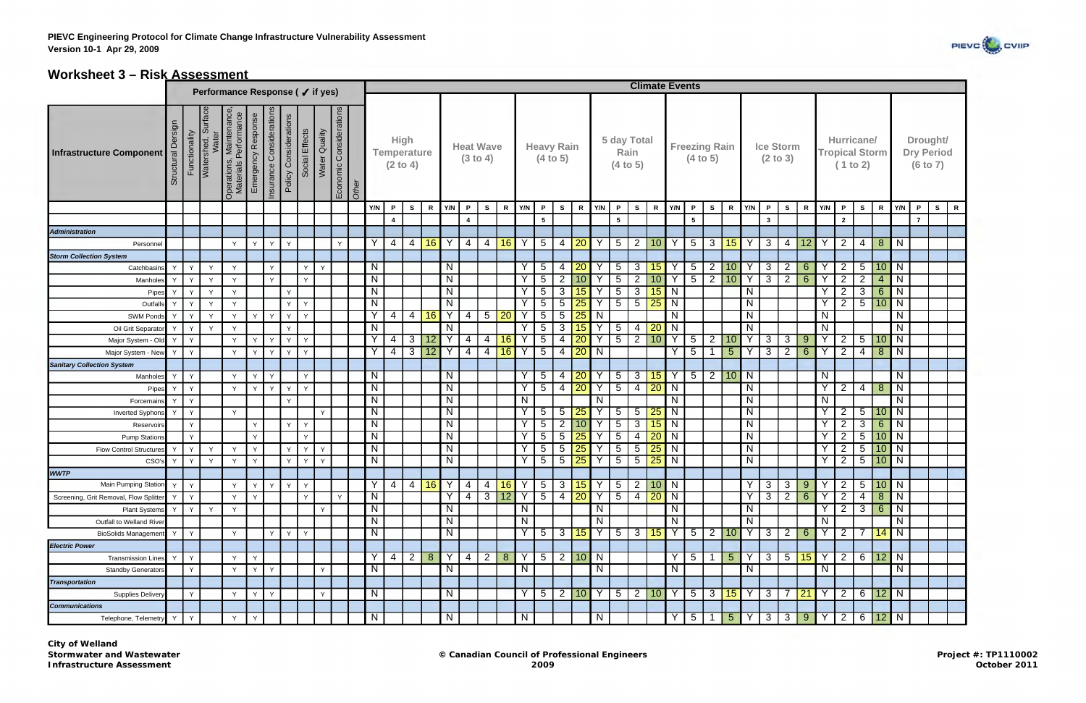

## **Worksheet 3 – Risk Assessment**

|                                        |                       |               |                                |                                                  |                    |                          | Performance Response (√ if yes)         |               |              |                                  |                         |                         |                    |                |                         |                              |                |        |                         |                               |                |                 |                |                         |                 |                 | <b>Climate Events</b>   |                 |                      |                 |                         |                |                  |                  |                |                                                 |                   |                 |                |                      |                   |  |
|----------------------------------------|-----------------------|---------------|--------------------------------|--------------------------------------------------|--------------------|--------------------------|-----------------------------------------|---------------|--------------|----------------------------------|-------------------------|-------------------------|--------------------|----------------|-------------------------|------------------------------|----------------|--------|-------------------------|-------------------------------|----------------|-----------------|----------------|-------------------------|-----------------|-----------------|-------------------------|-----------------|----------------------|-----------------|-------------------------|----------------|------------------|------------------|----------------|-------------------------------------------------|-------------------|-----------------|----------------|----------------------|-------------------|--|
|                                        |                       |               |                                |                                                  |                    |                          |                                         |               |              |                                  |                         |                         |                    |                |                         |                              |                |        |                         |                               |                |                 |                |                         |                 |                 |                         |                 |                      |                 |                         |                |                  |                  |                |                                                 |                   |                 |                |                      |                   |  |
| <b>Infrastructure Component</b>        | Dersign<br>Structural | Functionality | Surface<br>Water<br>Watershed, | Operations, Maintenance<br>Materials Performance | Emergency Response | Insurance Considerations | Policy Considerations<br>Social Effects | Water Quality |              | Economic Considerations<br>Other |                         | <b>High</b><br>(2 to 4) | <b>Temperature</b> |                |                         | <b>Heat Wave</b><br>(3 to 4) |                |        |                         | <b>Heavy Rain</b><br>(4 to 5) |                |                 |                | 5 day Total<br>(4 to 5) | Rain            |                 |                         | (4 to 5)        | <b>Freezing Rain</b> |                 |                         | (2 to 3)       | <b>Ice Storm</b> |                  |                | Hurricane/<br><b>Tropical Storm</b><br>(1 to 2) |                   |                 |                | Drought/<br>(6 to 7) | <b>Dry Period</b> |  |
|                                        |                       |               |                                |                                                  |                    |                          |                                         |               |              |                                  | Y/N                     | $\mathsf{P}$            | $\mathbf{s}$       | $\mathbf R$    | Y/N                     | $\mathsf{P}$                 | $\mathbf{s}$   | R      | Y/N                     | P                             | S              | R               | Y/N            | $\mathsf{P}$            | S.              |                 | $R$ $Y/N$               | P               | $\mathbf{s}$         | $\mathbb{R}$    | Y/N                     | P              | $\mathbf{s}$     | $\mathsf{R}$     | Y/N            | $\mathsf{P}$                                    | <b>S</b>          | $\mathbf R$     | Y/N            | $\mathsf{P}$         | $\mathbf{s}$<br>R |  |
|                                        |                       |               |                                |                                                  |                    |                          |                                         |               |              |                                  |                         | 4                       |                    |                |                         | $\overline{\bf{4}}$          |                |        |                         | $5\phantom{.0}$               |                |                 |                | $5\phantom{.0}$         |                 |                 |                         | $5^{\circ}$     |                      |                 |                         | $\mathbf{3}$   |                  |                  |                | $\overline{2}$                                  |                   |                 |                | $\overline{7}$       |                   |  |
| <b>Administration</b>                  |                       |               |                                |                                                  |                    |                          |                                         |               |              |                                  |                         |                         |                    |                |                         |                              |                |        |                         |                               |                |                 |                |                         |                 |                 |                         |                 |                      |                 |                         |                |                  |                  |                |                                                 |                   |                 |                |                      |                   |  |
| Personnel                              |                       |               |                                | $\vee$                                           | Y                  | Y                        | Y                                       |               | $\mathsf{Y}$ |                                  | Y                       | 4                       | 4                  | 16             | Y                       | 4                            | 4              | 16     | Y                       | 5 <sup>5</sup>                | $\overline{4}$ | 20              | $\mathsf{Y}$   | 5 <sub>5</sub>          | $\overline{2}$  | 10              | Y                       | $5\overline{)}$ | $\mathbf{3}$         | 15              | Y                       | 3 <sup>1</sup> | $\overline{4}$   | 12               | Y              | 2                                               | $\overline{4}$    | 8 <sup>°</sup>  | <b>N</b>       |                      |                   |  |
| <b>Storm Collection System</b>         |                       |               |                                |                                                  |                    |                          |                                         |               |              |                                  |                         |                         |                    |                |                         |                              |                |        |                         |                               |                |                 |                |                         |                 |                 |                         |                 |                      |                 |                         |                |                  |                  |                |                                                 |                   |                 |                |                      |                   |  |
| Catchbasins                            | Y                     | Y             | Y                              | $\mathsf{v}$                                     |                    | Y                        |                                         | Y<br>Y        |              |                                  | $\mathsf{N}$            |                         |                    |                | N                       |                              |                |        |                         | 5 <sup>5</sup>                | 4              | 20              |                | $5\overline{)}$         | 3               | 15              | Y                       | $5\phantom{.0}$ | $\overline{2}$       | 10              | Y                       | $\mathbf{3}$   | $\overline{2}$   | $6 \overline{6}$ | Y              | 2                                               | $5\overline{)}$   | 10              | IN             |                      |                   |  |
| Manholes                               | Y                     | $\mathsf{Y}$  | $\vee$                         | $\mathsf{v}$                                     |                    | Y                        |                                         | Y             |              |                                  | $\overline{N}$          |                         |                    |                | $\overline{N}$          |                              |                |        |                         | 5 <sup>5</sup>                | $\overline{2}$ | 10 <sup>1</sup> | $\checkmark$   | $\overline{5}$          | 2               | 10              | Υ                       | $\overline{5}$  | $\overline{2}$       | 10              | $\overline{Y}$          | $\overline{3}$ | $\overline{2}$   | 6                | $\overline{Y}$ | $\overline{2}$                                  | $\overline{2}$    | $\overline{4}$  | $\mathsf{N}$   |                      |                   |  |
| Pipes                                  | Y                     | Y             | Y                              | Y                                                |                    |                          | Y                                       |               |              |                                  | $\mathsf{N}$            |                         |                    |                | N                       |                              |                |        |                         | $5\overline{)}$               | 3              | 15 <sub>2</sub> |                | $5\phantom{.0}$         | 3               | 15              | N                       |                 |                      |                 | N                       |                |                  |                  | <b>Y</b>       | $\overline{2}$                                  | 3                 | $6^{\circ}$     | $\overline{N}$ |                      |                   |  |
| Outfalls                               | Y                     | Y             | Y                              | $\mathsf{v}$                                     |                    |                          | Y                                       | Y             |              |                                  | $\overline{N}$          |                         |                    |                | $\overline{\mathsf{N}}$ |                              |                |        |                         | 5 <sup>5</sup>                | 5              | 25              | Y              | $\overline{5}$          | $5\overline{)}$ | 25              | $\overline{N}$          |                 |                      |                 | $\mathsf{N}$            |                |                  |                  | $\overline{Y}$ | $\overline{2}$                                  | $\overline{5}$    | 10              | $\overline{N}$ |                      |                   |  |
| <b>SWM Ponds</b>                       | Y                     | $\vee$        | $\vee$                         | $\vee$                                           | Y                  | $\mathsf{Y}$             | Y<br>Y                                  |               |              |                                  | Y                       | 4                       | $\overline{4}$     | 16             | Y                       | 4                            | 5              | 20     |                         | $\overline{5}$                | 5              | 25              | N              |                         |                 |                 | $\mathsf{N}$            |                 |                      |                 | $\mathsf{N}$            |                |                  |                  | N              |                                                 |                   |                 | $\mathsf{N}$   |                      |                   |  |
| Oil Grit Separator                     | Y                     | Y             | Y                              | $\mathsf{v}$                                     |                    |                          | Y                                       |               |              |                                  | $\mathsf{N}$            |                         |                    |                | N                       |                              |                |        |                         | 5 <sup>1</sup>                | 3              | 15              | $\mathsf{Y}$   | 5 <sup>5</sup>          | $\overline{4}$  | 20              | N                       |                 |                      |                 | $\overline{\mathsf{N}}$ |                |                  |                  | N              |                                                 |                   |                 | N              |                      |                   |  |
| Major System - Old                     | Y                     | Y             |                                | $\mathsf{v}$                                     | Y                  | Y                        | Y<br>Y                                  |               |              |                                  | Y                       | 4                       | 3                  | 12             |                         | 4                            | 4              | 16     |                         | $\overline{5}$                | 4              | 20              |                | 5 <sup>5</sup>          | $\overline{2}$  | 10              | Υ                       | $5\phantom{.0}$ | $\overline{2}$       | 10              | Υ                       | 3              | $3^{\circ}$      | 9                | Y              | $\overline{2}$                                  | $5\phantom{.0}$   | 10              | N              |                      |                   |  |
| Major System - New                     | Y                     | Y             |                                | $\vee$                                           | Y                  | $\mathsf{Y}$             | Y                                       | Y             |              |                                  | Y                       | 4                       | 3                  | 12             | Y                       | 4                            | $\overline{4}$ | 16     | Y                       | 5                             | $\overline{4}$ | 20              | N              |                         |                 |                 | Y                       | $5\overline{)}$ | $\mathbf 1$          | 5 <sup>5</sup>  | Y                       | 3              | $\overline{2}$   | $6 \overline{6}$ | Y              | $\overline{2}$                                  | $\overline{A}$    | 8               | <b>N</b>       |                      |                   |  |
| <b>Sanitary Collection System</b>      |                       |               |                                |                                                  |                    |                          |                                         |               |              |                                  |                         |                         |                    |                |                         |                              |                |        |                         |                               |                |                 |                |                         |                 |                 |                         |                 |                      |                 |                         |                |                  |                  |                |                                                 |                   |                 |                |                      |                   |  |
| Manholes                               | $\mathsf{v}$          | Y             |                                | $\mathsf{v}$                                     | Y                  | Y                        |                                         | Y             |              |                                  | N                       |                         |                    |                | N                       |                              |                |        | Y                       | 5 <sup>5</sup>                | 4              | 20              | Y              | $5\overline{)}$         | 3               | 15              | Y                       | $5\overline{)}$ | $\vert$ 2 $\vert$    | 10              | N                       |                |                  |                  | N              |                                                 |                   |                 | N              |                      |                   |  |
| Pipes                                  | Y                     | Y             |                                | Y                                                | Y.                 | Y                        | Y<br>Y                                  |               |              |                                  | N                       |                         |                    |                | $\mathsf{N}$            |                              |                |        | Y                       | 5 <sup>5</sup>                | $\overline{4}$ | $\overline{20}$ | Ÿ              | 5 <sup>5</sup>          | $\overline{4}$  | $\boxed{20}$    | $\overline{\mathsf{N}}$ |                 |                      |                 | N                       |                |                  |                  | $\overline{Y}$ | $\overline{2}$                                  | $\overline{4}$    | 8 <sup>8</sup>  | $\overline{N}$ |                      |                   |  |
| Forcemains                             | Y                     | $\mathsf{Y}$  |                                |                                                  |                    |                          | Y                                       |               |              |                                  | $\mathsf{N}$            |                         |                    |                | $\mathsf{N}$            |                              |                |        | N                       |                               |                |                 | N              |                         |                 |                 | N                       |                 |                      |                 | N                       |                |                  |                  | N              |                                                 |                   |                 | N              |                      |                   |  |
| <b>Inverted Syphons</b>                | Y                     | Y             |                                | $\mathsf{v}$                                     |                    |                          |                                         | Y             |              |                                  | $\overline{\mathsf{N}}$ |                         |                    |                | $\overline{\mathsf{N}}$ |                              |                |        |                         | 5 <sup>5</sup>                | 5              | 25              | Y              | 5 <sup>5</sup>          | $5\overline{)}$ | 25              | N                       |                 |                      |                 | N                       |                |                  |                  | Y              | $\overline{2}$                                  | 5 <sup>1</sup>    | 10              | N              |                      |                   |  |
| Reservoirs                             |                       | Y             |                                |                                                  | Y                  |                          | Y<br>Y                                  |               |              |                                  | $\overline{N}$          |                         |                    |                | $\overline{\mathsf{N}}$ |                              |                |        | Υ                       | $\overline{5}$                | $\overline{2}$ | 10              | ٧              | $\overline{5}$          | $\mathbf{3}$    | 15              | $\mathsf{N}$            |                 |                      |                 | $\overline{N}$          |                |                  |                  | Y              | $\overline{2}$                                  | $\overline{3}$    | $6^{\circ}$     | $\overline{N}$ |                      |                   |  |
| <b>Pump Stations</b>                   |                       | Y             |                                |                                                  | Y                  |                          |                                         | Y             |              |                                  | $\overline{N}$          |                         |                    |                | $\overline{N}$          |                              |                |        |                         | 5                             | 5              | 25              | Y              | $5\overline{)}$         | $\overline{4}$  | 20              | N                       |                 |                      |                 | $\overline{\mathsf{N}}$ |                |                  |                  | $\overline{Y}$ | $\overline{2}$                                  | $5\overline{)}$   | 10              | $\overline{N}$ |                      |                   |  |
| <b>Flow Control Structures</b>         | Y                     | $\mathsf{Y}$  | Y                              | $\checkmark$                                     | Y                  |                          | Y                                       | Y<br>Y        |              |                                  | $\mathsf{N}$            |                         |                    |                | N                       |                              |                |        | ٧                       | 5                             | 5              | 25              |                | $5\phantom{.0}$         | $\overline{5}$  | 25              | N                       |                 |                      |                 | $\mathsf{N}$            |                |                  |                  | N              | $\overline{2}$                                  | $\overline{5}$    | 10              | $\overline{N}$ |                      |                   |  |
| CSO's                                  |                       | Y             | $\mathsf{v}$                   | $\mathsf{v}$                                     | Y                  |                          | Y                                       | Y<br>Y        |              |                                  | N                       |                         |                    |                | $\overline{N}$          |                              |                |        | Y                       | 5 <sup>1</sup>                | 5              | 25              | Y              | 5 <sup>5</sup>          | $5\phantom{.0}$ | 25              | N                       |                 |                      |                 | N                       |                |                  |                  | N              | $\overline{2}$                                  | 5 <sub>5</sub>    | 10              | $\overline{N}$ |                      |                   |  |
| <b>WWTP</b>                            |                       |               |                                |                                                  |                    |                          |                                         |               |              |                                  |                         |                         |                    |                |                         |                              |                |        |                         |                               |                |                 |                |                         |                 |                 |                         |                 |                      |                 |                         |                |                  |                  |                |                                                 |                   |                 |                |                      |                   |  |
| Main Pumping Station                   | Y                     | Y             |                                | Y                                                | Y                  | Y                        | Y<br>Y                                  |               |              |                                  | Y                       | $\overline{4}$          | $\overline{4}$     | 16 Y           |                         | 4                            | $\overline{4}$ | $16$ Y |                         | 5 <sup>5</sup>                | 3              | $15$ Y          |                | 5 <sub>5</sub>          | $\overline{2}$  | $10$ N          |                         |                 |                      |                 | Y.                      | $\mathbf{3}$   | $3^{\circ}$      | 9                | Y              | $\overline{2}$                                  | 5 <sup>5</sup>    | $10$ N          |                |                      |                   |  |
| Screening, Grit Removal, Flow Splitter | Y                     | Y             |                                | $\vee$                                           | Y                  |                          |                                         | Y             | $\mathsf{v}$ |                                  | $\mathsf{N}$            |                         |                    |                | $\checkmark$            | 4                            | 3              | 12     | Υ                       | 5 <sup>5</sup>                | $\overline{4}$ | $\boxed{20}$    | $\mathsf{Y}$   | 5 <sup>5</sup>          | $\overline{4}$  | $\overline{20}$ | N                       |                 |                      |                 | Y                       | 3              | $\overline{2}$   | $6^{\circ}$      | $\mathsf{Y}$   | $\overline{2}$                                  | -4                | 8 <sup>°</sup>  | N              |                      |                   |  |
| <b>Plant Systems</b>                   | Y                     | Y             | Y                              | Y                                                |                    |                          |                                         | Y             |              |                                  | N                       |                         |                    |                | $\overline{N}$          |                              |                |        | N                       |                               |                |                 | N              |                         |                 |                 | N                       |                 |                      |                 | N                       |                |                  |                  | Y              | $\overline{2}$                                  | $\lceil 3 \rceil$ | $6^{\circ}$     | N              |                      |                   |  |
| Outfall to Welland River               |                       |               |                                |                                                  |                    |                          |                                         |               |              |                                  | $\overline{N}$          |                         |                    |                | $\mathsf{N}$            |                              |                |        | $\overline{\mathbf{z}}$ |                               |                |                 | N              |                         |                 |                 | N                       |                 |                      |                 | $\mathsf{N}$            |                |                  |                  | N              |                                                 |                   |                 | N              |                      |                   |  |
| <b>BioSolids Management</b>            | Y                     | Y             |                                | Y                                                |                    | Y                        | Y                                       | Y             |              |                                  | N                       |                         |                    |                | $\overline{N}$          |                              |                |        | Y                       | $5 -$                         | 3 <sup>1</sup> | 15              | $\overline{Y}$ | $\overline{5}$          | 3 <sup>1</sup>  | 15              | $\mathsf{Y}$            | $5\overline{)}$ | $2 \mid 10$          |                 | $\overline{Y}$          | $\mathbf{3}$   | $2^{\circ}$      | $6^{\circ}$      | Y              | $\overline{2}$                                  | 7                 | 14              | N              |                      |                   |  |
| <b>Electric Power</b>                  |                       |               |                                |                                                  |                    |                          |                                         |               |              |                                  |                         |                         |                    |                |                         |                              |                |        |                         |                               |                |                 |                |                         |                 |                 |                         |                 |                      |                 |                         |                |                  |                  |                |                                                 |                   |                 |                |                      |                   |  |
| <b>Transmission Lines</b>              | <sup>V</sup>          | Y             |                                | $\checkmark$                                     | Y                  |                          |                                         |               |              |                                  | Y                       | 4                       | 2                  | 8 <sup>°</sup> | $\overline{Y}$          | 4                            | $\overline{2}$ | 8      | Y                       | 5 <sup>1</sup>                | $\overline{2}$ | <b>10 N</b>     |                |                         |                 |                 | Y                       | $5\overline{)}$ | -1                   | 5 <sup>5</sup>  | Y                       | 3              | 5 <sub>1</sub>   | 15               | $\overline{Y}$ | $\overline{2}$                                  | $6 \mid$          | 12              | $\overline{N}$ |                      |                   |  |
| <b>Standby Generators</b>              |                       | Y             |                                | $\mathsf{v}$                                     | Y                  | Y                        |                                         | Y             |              |                                  | N                       |                         |                    |                | N                       |                              |                |        | N                       |                               |                |                 | $\overline{N}$ |                         |                 |                 | N                       |                 |                      |                 | N                       |                |                  |                  | N              |                                                 |                   |                 | $\overline{N}$ |                      |                   |  |
| <b>Transportation</b>                  |                       |               |                                |                                                  |                    |                          |                                         |               |              |                                  |                         |                         |                    |                |                         |                              |                |        |                         |                               |                |                 |                |                         |                 |                 |                         |                 |                      |                 |                         |                |                  |                  |                |                                                 |                   |                 |                |                      |                   |  |
| Supplies Delivery                      |                       | Y             |                                | $\vee$                                           | Y                  | Y                        |                                         | Y             |              |                                  | $\overline{N}$          |                         |                    |                | $\overline{N}$          |                              |                |        |                         | 5 <sup>1</sup>                | $\overline{2}$ | 10              | $\mathsf{Y}$   | 5                       | $\overline{2}$  | 10              | Y                       | $5\overline{)}$ | 3 <sup>1</sup>       | 15              | Y                       | $\overline{3}$ | $7^{\circ}$      | $\boxed{21}$     | Y              | $\overline{2}$                                  | $6^{\circ}$       | 12 <sub>2</sub> | $\overline{N}$ |                      |                   |  |
| <b>Communications</b>                  |                       |               |                                |                                                  |                    |                          |                                         |               |              |                                  |                         |                         |                    |                |                         |                              |                |        |                         |                               |                |                 |                |                         |                 |                 |                         |                 |                      |                 |                         |                |                  |                  |                |                                                 |                   |                 |                |                      |                   |  |
| Telephone, Telemetry                   | Y                     | Y             |                                | Y                                                | Y                  |                          |                                         |               |              |                                  | $\mathsf{N}$            |                         |                    |                | $\mathsf{N}$            |                              |                |        | $\overline{N}$          |                               |                |                 | $\overline{N}$ |                         |                 |                 | Y                       | $5\overline{)}$ | $\overline{1}$       | $5\overline{)}$ | $\overline{Y}$          | ن              | 3 <sup>1</sup>   | 9 <sup>°</sup>   | Y              | 2                                               | $6 \overline{6}$  | 12              | <b>N</b>       |                      |                   |  |
|                                        |                       |               |                                |                                                  |                    |                          |                                         |               |              |                                  |                         |                         |                    |                |                         |                              |                |        |                         |                               |                |                 |                |                         |                 |                 |                         |                 |                      |                 |                         |                |                  |                  |                |                                                 |                   |                 |                |                      |                   |  |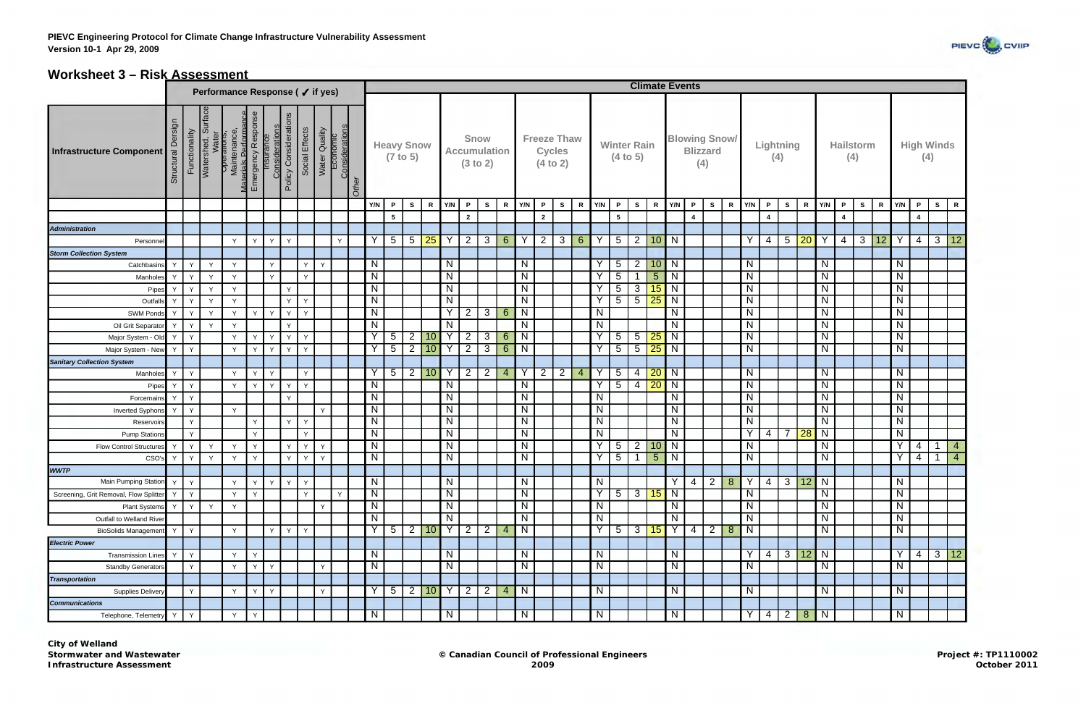

## **Worksheet 3 – Risk Assessment**

|                                        | Performance Response (√ if yes) |               |                    |                                                                                  |              |              |                                                |                |                                             |        |                |                   |                 |                               |                     |                                         |                |                  |                |                                                 |                |   |                         |                                |                 |                 | <b>Climate Events</b> |                                                |                |                |                |                         |                    |             |                |                         |              |             |                |                |                                           |
|----------------------------------------|---------------------------------|---------------|--------------------|----------------------------------------------------------------------------------|--------------|--------------|------------------------------------------------|----------------|---------------------------------------------|--------|----------------|-------------------|-----------------|-------------------------------|---------------------|-----------------------------------------|----------------|------------------|----------------|-------------------------------------------------|----------------|---|-------------------------|--------------------------------|-----------------|-----------------|-----------------------|------------------------------------------------|----------------|----------------|----------------|-------------------------|--------------------|-------------|----------------|-------------------------|--------------|-------------|----------------|----------------|-------------------------------------------|
|                                        |                                 |               |                    |                                                                                  |              |              |                                                |                |                                             |        |                |                   |                 |                               |                     |                                         |                |                  |                |                                                 |                |   |                         |                                |                 |                 |                       |                                                |                |                |                |                         |                    |             |                |                         |              |             |                |                |                                           |
| <b>Infrastructure Component</b>        | Structural Dersign              | Functionality | Watershed, Surface | Water<br>Maintenance,<br>Maintenance,<br>Materials Performar<br>Emergency Respon | 9S           |              | <b>Considerations</b><br>Policy Considerations | Social Effects | Water Quality<br>Economic<br>Considerations | Other  |                | <b>Heavy Snow</b> | (7 to 5)        |                               |                     | Snow<br><b>Accumulation</b><br>(3 to 2) |                |                  |                | <b>Freeze Thaw</b><br><b>Cycles</b><br>(4 to 2) |                |   |                         | <b>Winter Rain</b><br>(4 to 5) |                 |                 |                       | <b>Blowing Snow/</b><br><b>Blizzard</b><br>(4) |                |                |                | <b>Lightning</b><br>(4) |                    |             |                | <b>Hailstorm</b><br>(4) |              |             |                | (4)            | <b>High Winds</b>                         |
|                                        |                                 |               |                    |                                                                                  |              |              |                                                |                |                                             |        | Y/N            | $\mathsf{P}$      | $\mathbf{s}$    | <b>R</b>                      | Y/N                 | P.                                      | S.             | $\mathbf R$      | Y/N            | $\mathsf{P}$                                    | S              | R | Y/N                     | $\cdot$ P                      | S               | R               | Y/N                   | P                                              | S              | R              | Y/N            | P                       | S                  | $\mathbf R$ | Y/N            | $\mathsf{P}$            | $\mathbf{s}$ | $\mathbf R$ | Y/N            | $\mathsf{P}$   | $\mathbf R$<br>$\mathsf{s}$               |
|                                        |                                 |               |                    |                                                                                  |              |              |                                                |                |                                             |        |                | 5                 |                 |                               |                     | $\overline{2}$                          |                |                  |                | $\overline{2}$                                  |                |   |                         | 5                              |                 |                 |                       | $\overline{4}$                                 |                |                |                | $\overline{4}$          |                    |             |                | $\overline{4}$          |              |             |                | $\overline{4}$ |                                           |
| <b>Administration</b>                  |                                 |               |                    |                                                                                  |              |              |                                                |                |                                             |        |                |                   |                 |                               |                     |                                         |                |                  |                |                                                 |                |   |                         |                                |                 |                 |                       |                                                |                |                |                |                         |                    |             |                |                         |              |             |                |                |                                           |
| Personne                               |                                 |               |                    | $\checkmark$                                                                     | Y            | Y            | $\mathsf{v}$                                   |                |                                             | $\vee$ | Y              | $5\phantom{.0}$   | $5\overline{)}$ | $25$ Y                        |                     | $\overline{2}$                          | $\mathbf{3}$   | 6 <sup>1</sup>   | Y              | 2                                               | 3 <sup>1</sup> | 6 | Y                       | 5                              | 2 <sup>1</sup>  | 10 N            |                       |                                                |                |                | Y              | 4                       | $5 \mid 20$        |             | Y              | $\overline{4}$          | $\mathbf{3}$ | 12          | $\mathsf{Y}$   | $\overline{4}$ | $\mathbf{3}$<br>12                        |
| <b>Storm Collection System</b>         |                                 |               |                    |                                                                                  |              |              |                                                |                |                                             |        |                |                   |                 |                               |                     |                                         |                |                  |                |                                                 |                |   |                         |                                |                 |                 |                       |                                                |                |                |                |                         |                    |             |                |                         |              |             |                |                |                                           |
| Catchbasins                            | Y                               | Y             | Y                  | Y                                                                                |              | Y            |                                                | Y              | Y                                           |        | N              |                   |                 |                               | N                   |                                         |                |                  | $\mathsf{N}$   |                                                 |                |   | Υ                       | $5\overline{)}$                | 2               | 10 N            |                       |                                                |                |                | $\overline{N}$ |                         |                    |             | N              |                         |              |             | N              |                |                                           |
| Manholes                               | Y                               | Y             | Y                  | $\mathsf{v}$                                                                     |              | Y            |                                                | $\mathsf{Y}$   |                                             |        | N              |                   |                 |                               | $\overline{N}$      |                                         |                |                  | $\overline{N}$ |                                                 |                |   | v                       | $5\phantom{.0}$                |                 | 5 <sup>5</sup>  | N                     |                                                |                |                | $\overline{N}$ |                         |                    |             | N              |                         |              |             | $\mathsf{N}$   |                |                                           |
| Pipes                                  | $\vee$                          | Y             | Y                  | Y                                                                                |              |              | $\mathsf{v}$                                   |                |                                             |        | N              |                   |                 |                               | $\overline{N}$      |                                         |                |                  | $\overline{N}$ |                                                 |                |   |                         | $\overline{5}$                 | $\mathbf{3}$    | 15              | N                     |                                                |                |                | N              |                         |                    |             | N              |                         |              |             | N              |                |                                           |
| Outfalls                               |                                 | Y             | Y                  | $\vee$                                                                           |              |              | Y                                              | $\mathsf{Y}$   |                                             |        | $\mathsf{N}$   |                   |                 |                               | $\overline{N}$      |                                         |                |                  | ${\sf N}$      |                                                 |                |   | $\vee$                  | $5\phantom{.0}$                | $5\overline{)}$ | 25              | N                     |                                                |                |                | $\overline{N}$ |                         |                    |             | $\mathsf{N}$   |                         |              |             | ${\sf N}$      |                |                                           |
| <b>SWM Ponds</b>                       |                                 | Y             | Y                  | Y                                                                                | Y            | $\mathsf{Y}$ | Y                                              | Y              |                                             |        | $\overline{N}$ |                   |                 |                               | $\overline{Y}$      | $\overline{2}$                          | 3              | $6\overline{6}$  | $\overline{N}$ |                                                 |                |   | N                       |                                |                 |                 | N                     |                                                |                |                | $\overline{N}$ |                         |                    |             | $\mathsf{N}$   |                         |              |             | N              |                |                                           |
| Oil Grit Separator                     | Y                               | Y             | Y                  | $\checkmark$                                                                     |              |              | $\mathsf{Y}$                                   |                |                                             |        | N              |                   |                 |                               | N                   |                                         |                |                  | $\overline{N}$ |                                                 |                |   | $\mathsf{N}$            |                                |                 |                 | N                     |                                                |                |                | $\overline{N}$ |                         |                    |             | N              |                         |              |             | N              |                |                                           |
| Major System - Old                     | Y                               | Y             |                    | $\mathsf{v}$                                                                     | $\mathsf{Y}$ | $\mathsf{v}$ | $\mathsf{Y}$                                   | $\vee$         |                                             |        | Y              | $5\phantom{.0}$   | $\overline{2}$  | 10 <sup>1</sup>               | Y                   | 2                                       | $\mathbf{3}$   | $6^{\circ}$      | N              |                                                 |                |   | Y                       | $5\phantom{.0}$                | 5 <sup>1</sup>  | 25              | N                     |                                                |                |                | $\overline{N}$ |                         |                    |             | N              |                         |              |             | N              |                |                                           |
| Major System - New                     | $\mathsf{Y}$                    | Y             |                    | $\vee$                                                                           | Y            | $\vee$       | Y                                              | $\mathsf{Y}$   |                                             |        | Υ              | $5\overline{)}$   | $\overline{2}$  | 10 <sup>1</sup>               | Y                   | 2                                       | $\overline{3}$ | $6 \overline{6}$ | N              |                                                 |                |   | Υ                       | $5\overline{)}$                | 5 <sub>2</sub>  | 25              | N                     |                                                |                |                | $\overline{N}$ |                         |                    |             | N              |                         |              |             | $\mathsf{N}$   |                |                                           |
| <b>Sanitary Collection System</b>      |                                 |               |                    |                                                                                  |              |              |                                                |                |                                             |        |                |                   |                 |                               |                     |                                         |                |                  |                |                                                 |                |   |                         |                                |                 |                 |                       |                                                |                |                |                |                         |                    |             |                |                         |              |             |                |                |                                           |
| Manholes                               | $\mathsf{Y}$                    | $\mathsf{v}$  |                    | $\vee$                                                                           |              | $\checkmark$ |                                                | $\vee$         |                                             |        | Y              | $5\overline{)}$   | $\overline{2}$  | 10                            | Y                   | 2                                       | $\overline{2}$ | $\overline{4}$   | Y              | $\overline{2}$                                  | $\overline{2}$ | 4 | ٧                       | $5\phantom{.0}$                | 4               | 20              | N                     |                                                |                |                | $\overline{N}$ |                         |                    |             | $\mathsf{N}$   |                         |              |             | N              |                |                                           |
| Pipes                                  | $\mathsf{v}$                    | $\vee$        |                    | Y.                                                                               | $\mathsf{v}$ | $\vee$       | $\mathsf{Y}$                                   | $\mathsf{Y}$   |                                             |        | $\mathsf{N}$   |                   |                 |                               | $\overline{N}$      |                                         |                |                  | $\mathsf{N}$   |                                                 |                |   | $\checkmark$            | $\overline{5}$                 | $\overline{4}$  | $\overline{20}$ | N                     |                                                |                |                | $\overline{N}$ |                         |                    |             | $\mathsf{N}$   |                         |              |             | $\overline{N}$ |                |                                           |
| Forcemains                             | Y                               | Y             |                    |                                                                                  |              |              | Y                                              |                |                                             |        | N              |                   |                 |                               | N                   |                                         |                |                  | N              |                                                 |                |   | N                       |                                |                 |                 | N                     |                                                |                |                | $\overline{N}$ |                         |                    |             | N              |                         |              |             | N              |                |                                           |
| Inverted Syphons                       | Y                               | Y             |                    | Y                                                                                |              |              |                                                |                | Y                                           |        | N              |                   |                 |                               | $\overline{N}$      |                                         |                |                  | $\overline{N}$ |                                                 |                |   | $\overline{\mathsf{N}}$ |                                |                 |                 | N                     |                                                |                |                | $\overline{N}$ |                         |                    |             | N              |                         |              |             | N              |                |                                           |
| Reservoirs                             |                                 | Y             |                    |                                                                                  |              |              | Y                                              | $\mathbf{v}$   |                                             |        | $\mathsf{N}$   |                   |                 |                               | N                   |                                         |                |                  | ${\sf N}$      |                                                 |                |   | N                       |                                |                 |                 | N                     |                                                |                |                | N              |                         |                    |             | N              |                         |              |             | N              |                |                                           |
| <b>Pump Stations</b>                   |                                 | Y             |                    |                                                                                  | Y            |              |                                                | $\mathsf{Y}$   |                                             |        | $\overline{N}$ |                   |                 |                               | $\overline{N}$      |                                         |                |                  | $\overline{N}$ |                                                 |                |   | $\overline{\mathsf{N}}$ |                                |                 |                 | $\overline{N}$        |                                                |                |                | $\overline{Y}$ | $4 \mid$                | $7 \vert 28$       |             | $\mathsf{N}$   |                         |              |             | $\mathsf{N}$   |                |                                           |
| <b>Flow Control Structures</b>         | $\vee$                          | Y             | Y                  | Y                                                                                | Y            |              | Y                                              | Y              | Y                                           |        | N              |                   |                 |                               | $\overline{N}$      |                                         |                |                  | N              |                                                 |                |   | Υ                       | $5\phantom{.0}$                | $\overline{2}$  | 10 <sub>1</sub> | $\overline{N}$        |                                                |                |                | N              |                         |                    |             | N              |                         |              |             | Y              | $\overline{4}$ | $\overline{\mathbf{1}}$<br>$\overline{4}$ |
| CSO's                                  |                                 | Y             | Y                  | $\checkmark$                                                                     |              |              | Y                                              | Y              | Y                                           |        | $\overline{N}$ |                   |                 |                               | $\overline{N}$      |                                         |                |                  | $\overline{N}$ |                                                 |                |   | $\vee$                  | $5\phantom{.0}$                |                 | 5 <sup>1</sup>  | N                     |                                                |                |                | $\overline{N}$ |                         |                    |             | N              |                         |              |             | $\overline{Y}$ | $\overline{4}$ | -1<br>$\overline{4}$                      |
| <b>WWTP</b>                            |                                 |               |                    |                                                                                  |              |              |                                                |                |                                             |        |                |                   |                 |                               |                     |                                         |                |                  |                |                                                 |                |   |                         |                                |                 |                 |                       |                                                |                |                |                |                         |                    |             |                |                         |              |             |                |                |                                           |
| Main Pumping Station Y                 |                                 | Y             |                    | Y                                                                                | Y            | Y            |                                                | YIY            |                                             |        | N,             |                   |                 |                               | $\lfloor N \rfloor$ |                                         |                |                  | N              |                                                 |                |   | N.                      |                                |                 |                 | Y                     | 4                                              | 2 <sub>1</sub> | 8 <sup>°</sup> | $\mathsf{I}$ Y | $\overline{4}$          | 3 12 N             |             |                |                         |              |             | N,             |                |                                           |
| Screening, Grit Removal, Flow Splitter | Y                               | Y             |                    | Y                                                                                | Y            |              |                                                | Y              |                                             | Y      | $\overline{N}$ |                   |                 |                               | $\overline{N}$      |                                         |                |                  | $\overline{N}$ |                                                 |                |   | $\overline{Y}$          | $5\overline{)}$                |                 |                 | $3 \mid 15 \mid N$    |                                                |                |                | $\boxed{N}$    |                         |                    |             | $\overline{N}$ |                         |              |             | $\overline{N}$ |                |                                           |
| <b>Plant Systems</b>                   | Y                               | Y             | Y                  | Y                                                                                |              |              |                                                |                | $\mathsf{v}$                                |        | N              |                   |                 |                               | $\overline{N}$      |                                         |                |                  | $\overline{N}$ |                                                 |                |   | N                       |                                |                 |                 | N                     |                                                |                |                | $\overline{N}$ |                         |                    |             | N              |                         |              |             | N              |                |                                           |
| Outfall to Welland River               |                                 |               |                    |                                                                                  |              |              |                                                |                |                                             |        | $\overline{N}$ |                   |                 |                               | $\overline{N}$      |                                         |                |                  | $\overline{N}$ |                                                 |                |   | $\overline{N}$          |                                |                 |                 | N                     |                                                |                |                | $\overline{N}$ |                         |                    |             | N              |                         |              |             | $\overline{N}$ |                |                                           |
| <b>BioSolids Management</b>            | Y                               | Y             |                    | Y                                                                                |              | Y            | Y                                              | Y              |                                             |        | Y              |                   |                 | $5$   2   10   $\overline{Y}$ |                     | $\overline{2}$                          | $\overline{2}$ | 4                | $\overline{N}$ |                                                 |                |   | Y                       | $5\overline{)}$                | $3 \mid$        |                 | $15$ Y                | $4 \mid$                                       | 2              | 8 <sup>1</sup> | $\overline{N}$ |                         |                    |             | N              |                         |              |             | N              |                |                                           |
| <b>Electric Power</b>                  |                                 |               |                    |                                                                                  |              |              |                                                |                |                                             |        |                |                   |                 |                               |                     |                                         |                |                  |                |                                                 |                |   |                         |                                |                 |                 |                       |                                                |                |                |                |                         |                    |             |                |                         |              |             |                |                |                                           |
| <b>Transmission Lines</b>              | Y                               | Y             |                    | $\mathsf{v}$                                                                     | Y            |              |                                                |                |                                             |        | N              |                   |                 |                               | $\overline{N}$      |                                         |                |                  | $\mathsf{N}$   |                                                 |                |   | N                       |                                |                 |                 | N                     |                                                |                |                | Y              | $4 \mid$                | $3 \mid 12 \mid N$ |             |                |                         |              |             | Y              | $\overline{4}$ | 3 <sup>1</sup><br> 12                     |
| <b>Standby Generators</b>              |                                 | Y             |                    | Y                                                                                | Y            | Y            |                                                |                | Y                                           |        | $\overline{N}$ |                   |                 |                               | $\overline{N}$      |                                         |                |                  | $\overline{N}$ |                                                 |                |   | N                       |                                |                 |                 | N                     |                                                |                |                | $\overline{z}$ |                         |                    |             | N              |                         |              |             | N              |                |                                           |
| <b>Transportation</b>                  |                                 |               |                    |                                                                                  |              |              |                                                |                |                                             |        |                |                   |                 |                               |                     |                                         |                |                  |                |                                                 |                |   |                         |                                |                 |                 |                       |                                                |                |                |                |                         |                    |             |                |                         |              |             |                |                |                                           |
| <b>Supplies Delivery</b>               |                                 | Y             |                    | Y                                                                                | $\checkmark$ | Y            |                                                |                | Y                                           |        | $\overline{Y}$ | $5\overline{)}$   |                 | $2$ 10 Y                      |                     | $\overline{2}$                          | $\overline{2}$ | $\overline{4}$   | N              |                                                 |                |   | N                       |                                |                 |                 | N                     |                                                |                |                | $\overline{z}$ |                         |                    |             | N              |                         |              |             | N              |                |                                           |
| <b>Communications</b>                  |                                 |               |                    |                                                                                  |              |              |                                                |                |                                             |        |                |                   |                 |                               |                     |                                         |                |                  |                |                                                 |                |   |                         |                                |                 |                 |                       |                                                |                |                |                |                         |                    |             |                |                         |              |             |                |                |                                           |
| Telephone, Telemetry                   | Y                               | Y             |                    | Y                                                                                | Y            |              |                                                |                |                                             |        | N              |                   |                 |                               | $\overline{N}$      |                                         |                |                  | N              |                                                 |                |   | N                       |                                |                 |                 | $\overline{N}$        |                                                |                |                | $\overline{Y}$ | $\overline{4}$          | $2 \mid 8 \mid$    |             | N              |                         |              |             | N              |                |                                           |